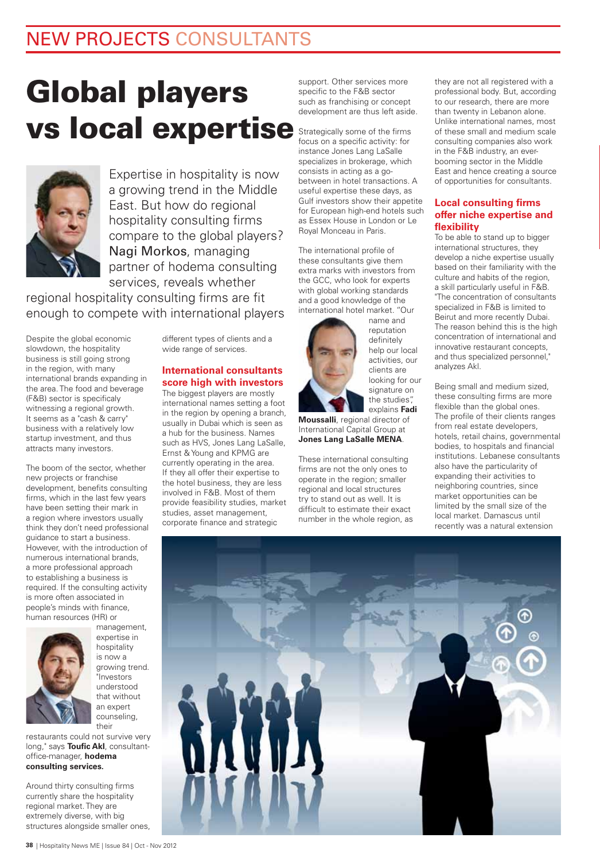## NEW PROJECTS CONSULTANTS

# **Global players vs local expertise**



Expertise in hospitality is now a growing trend in the Middle East. But how do regional hospitality consulting firms compare to the global players? Nagi Morkos, managing partner of hodema consulting services, reveals whether

regional hospitality consulting firms are fit enough to compete with international players

Despite the global economic slowdown, the hospitality business is still going strong in the region, with many international brands expanding in the area. The food and beverage (F&B) sector is specificaly witnessing a regional growth. It seems as a "cash & carry" business with a relatively low startup investment, and thus attracts many investors.

The boom of the sector, whether new projects or franchise development, benefits consulting firms, which in the last few years have been setting their mark in a region where investors usually think they don't need professional guidance to start a business. However, with the introduction of numerous international brands, a more professional approach to establishing a business is required. If the consulting activity is more often associated in people's minds with finance, human resources (HR) or



management, expertise in hospitality is now a growing trend. "Investors understood that without an expert counseling, their

restaurants could not survive very long," says **Toufic Akl**, consultantoffice-manager, **hodema consulting services.**

Around thirty consulting firms currently share the hospitality regional market. They are extremely diverse, with big structures alongside smaller ones, different types of clients and a wide range of services.

#### **International consultants score high with investors**

The biggest players are mostly international names setting a foot in the region by opening a branch, usually in Dubai which is seen as a hub for the business. Names such as HVS, Jones Lang LaSalle, Ernst & Young and KPMG are currently operating in the area. If they all offer their expertise to the hotel business, they are less involved in F&B. Most of them provide feasibility studies, market studies, asset management, corporate finance and strategic

support. Other services more specific to the F&B sector such as franchising or concept development are thus left aside.

Strategically some of the firms focus on a specific activity: for instance Jones Lang LaSalle specializes in brokerage, which consists in acting as a gobetween in hotel transactions. A useful expertise these days, as Gulf investors show their appetite for European high-end hotels such as Essex House in London or Le Royal Monceau in Paris.

The international profile of these consultants give them extra marks with investors from the GCC, who look for experts with global working standards and a good knowledge of the international hotel market. "Our name and



reputation definitely help our local activities, our clients are looking for our signature on the studies", explains **Fadi** 

**Moussalli**, regional director of International Capital Group at **Jones Lang LaSalle MENA**.

These international consulting firms are not the only ones to operate in the region; smaller regional and local structures try to stand out as well. It is difficult to estimate their exact number in the whole region, as

they are not all registered with a professional body. But, according to our research, there are more than twenty in Lebanon alone. Unlike international names, most of these small and medium scale consulting companies also work in the F&B industry, an everbooming sector in the Middle East and hence creating a source of opportunities for consultants.

#### **Local consulting firms offer niche expertise and flexibility**

To be able to stand up to bigger international structures, they develop a niche expertise usually based on their familiarity with the culture and habits of the region, a skill particularly useful in F&B. "The concentration of consultants specialized in F&B is limited to Beirut and more recently Dubai. The reason behind this is the high concentration of international and innovative restaurant concepts, and thus specialized personnel," analyzes Akl.

Being small and medium sized, these consulting firms are more flexible than the global ones. The profile of their clients ranges from real estate developers, hotels, retail chains, governmental bodies, to hospitals and financial institutions. Lebanese consultants also have the particularity of expanding their activities to neighboring countries, since market opportunities can be limited by the small size of the local market. Damascus until recently was a natural extension